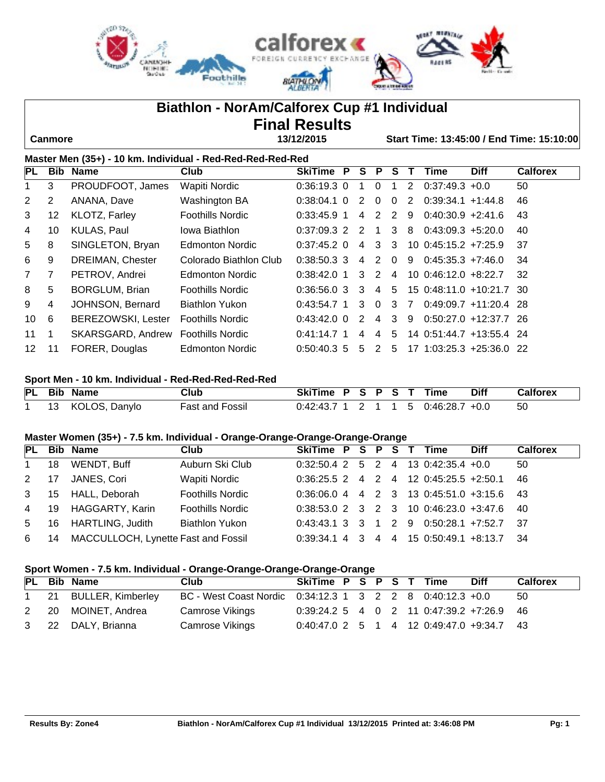

# **Biathlon - NorAm/Calforex Cup #1 Individual Final Results**

 **Canmore 13/12/2015 Start Time: 13:45:00 / End Time: 15:10:00**

| Master Men (35+) - 10 km. Individual - Red-Red-Red-Red-Red |                |                           |                         |                |   |                |                |          |   |                          |             |                 |
|------------------------------------------------------------|----------------|---------------------------|-------------------------|----------------|---|----------------|----------------|----------|---|--------------------------|-------------|-----------------|
| PL                                                         |                | <b>Bib Name</b>           | Club                    | <b>SkiTime</b> | P | S.             | P              | s        |   | Time                     | <b>Diff</b> | <b>Calforex</b> |
| 1                                                          | 3              | PROUDFOOT, James          | Wapiti Nordic           | $0.36:19.3$ 0  |   |                | $\mathbf{0}$   | 1        | 2 | $0:37:49.3 +0.0$         |             | 50              |
| $\overline{2}$                                             | $\overline{2}$ | ANANA, Dave               | Washington BA           | $0.38:04.1$ 0  |   | 2              | $\Omega$       | $\Omega$ | 2 | $0:39:34.1 +1:44.8$      |             | 46              |
| 3                                                          | 12             | <b>KLOTZ, Farley</b>      | <b>Foothills Nordic</b> | $0:33:45.9$ 1  |   | 4              | 2 2            |          | 9 | $0:40:30.9 +2:41.6$      |             | 43              |
| 4                                                          | 10             | <b>KULAS, Paul</b>        | Jowa Biathlon           | 0:37:09.3 2    |   | $\overline{2}$ | $\overline{1}$ | 3        | 8 | $0:43:09.3 +5:20.0$      |             | 40              |
| 5                                                          | 8              | SINGLETON, Bryan          | <b>Edmonton Nordic</b>  | $0:37:45.2$ 0  |   | $\overline{4}$ | 3              | -3       |   | $10 \t0:45:15.2 +7:25.9$ |             | 37              |
| 6                                                          | 9              | <b>DREIMAN, Chester</b>   | Colorado Biathlon Club  | $0.38:50.3$ 3  |   | $\overline{4}$ | 2 0            |          | 9 | $0:45:35.3$ +7:46.0      |             | 34              |
| $7^{\circ}$                                                | 7              | PETROV, Andrei            | Edmonton Nordic         | $0.38:42.0$ 1  |   |                | 3 2 4          |          |   | $10 \t0:46:12.0 +8:22.7$ |             | 32              |
| 8                                                          | 5              | <b>BORGLUM, Brian</b>     | <b>Foothills Nordic</b> | 0:36:56.0 3    |   | 3              | 4              | 5        |   | 15 0:48:11.0 +10:21.7 30 |             |                 |
| 9                                                          | 4              | JOHNSON, Bernard          | Biathlon Yukon          | 0:43:54.7 1    |   | 3              | $\Omega$       | 3        | 7 | $0:49:09.7 +11:20.4$ 28  |             |                 |
| 10                                                         | 6              | <b>BEREZOWSKI, Lester</b> | <b>Foothills Nordic</b> | $0.43:42.0$ 0  |   | $\mathcal{P}$  | $\overline{4}$ | 3        | 9 | $0:50:27.0 +12:37.7$ 26  |             |                 |
| 11                                                         | 1              | SKARSGARD, Andrew         | <b>Foothills Nordic</b> | $0.41:14.7$ 1  |   | $\overline{4}$ | 4              | 5        |   | 14 0:51:44.7 +13:55.4 24 |             |                 |
| 12 <sup>°</sup>                                            | 11             | FORER, Douglas            | Edmonton Nordic         | $0.50:40.3$ 5  |   | 5              | 2              | 5        |   | 17 1:03:25.3 +25:36.0 22 |             |                 |

#### **Sport Men - 10 km. Individual - Red-Red-Red-Red-Red**

|  | PL Bib Name      | Club                   | SkiTime P S P S T Time                 |  |  |  | Diff | <b>Calforex</b> |
|--|------------------|------------------------|----------------------------------------|--|--|--|------|-----------------|
|  | 13 KOLOS, Danylo | <b>Fast and Fossil</b> | $0:42:43.7$ 1 2 1 1 5 $0:46:28.7$ +0.0 |  |  |  |      |                 |

### **Master Women (35+) - 7.5 km. Individual - Orange-Orange-Orange-Orange-Orange**

|    |                  | Club                                                                                                          |                                                              |  |  | <b>Diff</b> | <b>Calforex</b>                                                                                                                                                                                                                                                                                         |
|----|------------------|---------------------------------------------------------------------------------------------------------------|--------------------------------------------------------------|--|--|-------------|---------------------------------------------------------------------------------------------------------------------------------------------------------------------------------------------------------------------------------------------------------------------------------------------------------|
| 18 |                  | Auburn Ski Club                                                                                               |                                                              |  |  |             | 50                                                                                                                                                                                                                                                                                                      |
|    |                  | Wapiti Nordic                                                                                                 |                                                              |  |  |             |                                                                                                                                                                                                                                                                                                         |
|    |                  | <b>Foothills Nordic</b>                                                                                       |                                                              |  |  |             |                                                                                                                                                                                                                                                                                                         |
|    |                  | <b>Foothills Nordic</b>                                                                                       |                                                              |  |  |             |                                                                                                                                                                                                                                                                                                         |
| 16 |                  |                                                                                                               |                                                              |  |  |             |                                                                                                                                                                                                                                                                                                         |
| 14 |                  |                                                                                                               |                                                              |  |  |             |                                                                                                                                                                                                                                                                                                         |
|    | $2 \t17$<br>4 19 | PL Bib Name<br>WENDT, Buff<br>JANES, Cori<br>3 15 HALL, Deborah<br>HAGGARTY, Karin<br><b>HARTLING, Judith</b> | <b>Biathlon Yukon</b><br>MACCULLOCH, Lynette Fast and Fossil |  |  |             | SkiTime P S P S T Time<br>$0.32:50.4$ 2 5 2 4 13 0:42:35.4 +0.0<br>$0.36:25.5$ 2 4 2 4 12 0:45:25.5 +2:50.1 46<br>$0:36:06.0$ 4 4 2 3 13 0:45:51.0 +3:15.6 43<br>$0.38:53.0$ 2 3 2 3 10 0:46:23.0 +3:47.6 40<br>$0.43:43.1$ 3 3 1 2 9 0.50:28.1 +7:52.7 37<br>0:39:34.1 4 3 4 4 15 0:50:49.1 +8:13.7 34 |

#### **Sport Women - 7.5 km. Individual - Orange-Orange-Orange-Orange-Orange**

|  | PL Bib Name          | Club                                                      | SkiTime P S P S T Time                      |  |  |  | <b>Diff</b> | <b>Calforex</b> |
|--|----------------------|-----------------------------------------------------------|---------------------------------------------|--|--|--|-------------|-----------------|
|  | 21 BULLER, Kimberley | BC - West Coast Nordic 0:34:12.3 1 3 2 2 8 0:40:12.3 +0.0 |                                             |  |  |  |             | -50             |
|  | 2 20 MOINET, Andrea  | Camrose Vikings                                           | $0:39:24.2$ 5 4 0 2 11 0:47:39.2 +7:26.9 46 |  |  |  |             |                 |
|  | 3 22 DALY, Brianna   | Camrose Vikings                                           | $0:40:47.0$ 2 5 1 4 12 0:49:47.0 +9:34.7 43 |  |  |  |             |                 |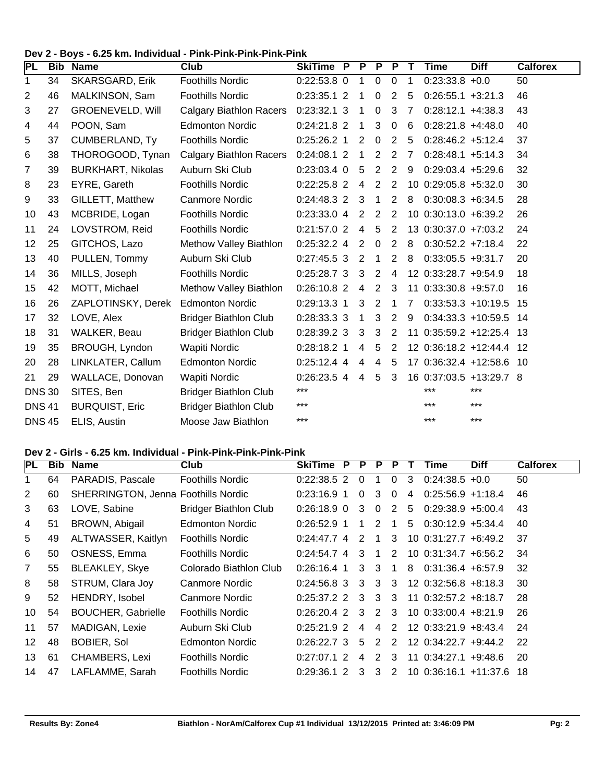#### **Dev 2 - Boys - 6.25 km. Individual - Pink-Pink-Pink-Pink-Pink**

| PL             |    | <b>Bib Name</b>          | Club                           | <b>SkiTime P</b> | P              | P              | <b>P</b>       | Т              | <b>Time</b>              | <b>Diff</b> | <b>Calforex</b> |
|----------------|----|--------------------------|--------------------------------|------------------|----------------|----------------|----------------|----------------|--------------------------|-------------|-----------------|
| 1              | 34 | <b>SKARSGARD, Erik</b>   | <b>Foothills Nordic</b>        | $0:22:53.8$ 0    | 1              | $\mathbf 0$    | $\mathbf 0$    | 1              | $0:23:33.8 +0.0$         |             | 50              |
| $\overline{2}$ | 46 | MALKINSON, Sam           | <b>Foothills Nordic</b>        | $0:23:35.1$ 2    | 1              | 0              | 2              | 5              | $0:26:55.1 + 3:21.3$     |             | 46              |
| 3              | 27 | <b>GROENEVELD, Will</b>  | <b>Calgary Biathlon Racers</b> | $0:23:32.1$ 3    | 1              | 0              | 3              | 7              | $0:28:12.1 + 4:38.3$     |             | 43              |
| 4              | 44 | POON, Sam                | <b>Edmonton Nordic</b>         | 0:24:21.8 2      | 1              | 3              | $\mathbf 0$    | 6              | $0:28:21.8 +4:48.0$      |             | 40              |
| 5              | 37 | <b>CUMBERLAND, Ty</b>    | <b>Foothills Nordic</b>        | $0:25:26.2$ 1    | 2              | 0              | 2              | 5              | $0:28:46.2 +5:12.4$      |             | 37              |
| 6              | 38 | THOROGOOD, Tynan         | <b>Calgary Biathlon Racers</b> | $0:24:08.1$ 2    | 1              | $\overline{2}$ | $\overline{2}$ | 7              | $0:28:48.1 + 5:14.3$     |             | 34              |
| 7              | 39 | <b>BURKHART, Nikolas</b> | Auburn Ski Club                | 0:23:03.4 0      | 5              | 2              | $\overline{2}$ | 9              | $0:29:03.4$ +5:29.6      |             | 32              |
| 8              | 23 | EYRE, Gareth             | <b>Foothills Nordic</b>        | 0:22:25.8 2      | 4              | $\overline{2}$ | $\overline{2}$ |                | 10 0:29:05.8 +5:32.0     |             | 30              |
| 9              | 33 | GILLETT, Matthew         | <b>Canmore Nordic</b>          | 0:24:48.3 2      | 3              | 1              | 2              | 8              | $0:30:08.3 + 6:34.5$     |             | 28              |
| 10             | 43 | MCBRIDE, Logan           | <b>Foothills Nordic</b>        | 0:23:33.04       | $\overline{2}$ | $\overline{2}$ | $\overline{2}$ |                | 10 0:30:13.0 +6:39.2     |             | 26              |
| 11             | 24 | LOVSTROM, Reid           | <b>Foothills Nordic</b>        | 0:21:57.0 2      | $\overline{4}$ | 5              | $\overline{2}$ |                | 13 0:30:37.0 +7:03.2     |             | 24              |
| 12             | 25 | GITCHOS, Lazo            | Methow Valley Biathlon         | $0:25:32.2$ 4    | $\overline{2}$ | $\mathbf 0$    | 2              | 8              | $0:30:52.2$ +7:18.4      |             | 22              |
| 13             | 40 | PULLEN, Tommy            | Auburn Ski Club                | $0:27:45.5$ 3    | $\overline{2}$ | 1              | 2              | 8              | $0:33:05.5 +9:31.7$      |             | 20              |
| 14             | 36 | MILLS, Joseph            | <b>Foothills Nordic</b>        | $0:25:28.7$ 3    | 3              | $\overline{2}$ | 4              |                | 12 0:33:28.7 +9:54.9     |             | 18              |
| 15             | 42 | MOTT, Michael            | Methow Valley Biathlon         | $0:26:10.8$ 2    | $\overline{4}$ | 2              | 3              |                | 11 0:33:30.8 +9:57.0     |             | 16              |
| 16             | 26 | ZAPLOTINSKY, Derek       | <b>Edmonton Nordic</b>         | $0:29:13.3$ 1    | 3              | 2              |                | $\overline{7}$ | $0:33:53.3 +10:19.5$     |             | 15              |
| 17             | 32 | LOVE, Alex               | <b>Bridger Biathlon Club</b>   | 0:28:33.3 3      | 1              | 3              | 2              | 9              | $0:34:33.3 + 10:59.5$    |             | 14              |
| 18             | 31 | WALKER, Beau             | <b>Bridger Biathlon Club</b>   | 0:28:39.2 3      | 3              | 3              | 2              |                | 11 0:35:59.2 +12:25.4    |             | -13             |
| 19             | 35 | BROUGH, Lyndon           | Wapiti Nordic                  | $0:28:18.2$ 1    | 4              | 5              | 2              |                | 12 0:36:18.2 +12:44.4    |             | 12              |
| 20             | 28 | LINKLATER, Callum        | <b>Edmonton Nordic</b>         | $0:25:12.4$ 4    | 4              | 4              | 5              |                | 17 0:36:32.4 +12:58.6 10 |             |                 |
| 21             | 29 | WALLACE, Donovan         | Wapiti Nordic                  | 0:26:23.5 4      | 4              | 5              | 3              |                | 16 0:37:03.5 +13:29.7 8  |             |                 |
| <b>DNS 30</b>  |    | SITES, Ben               | <b>Bridger Biathlon Club</b>   | ***              |                |                |                |                | $***$                    | ***         |                 |
| <b>DNS41</b>   |    | <b>BURQUIST, Eric</b>    | <b>Bridger Biathlon Club</b>   | ***              |                |                |                |                | ***                      | ***         |                 |
| <b>DNS 45</b>  |    | ELIS, Austin             | Moose Jaw Biathlon             | $***$            |                |                |                |                | $***$                    | $***$       |                 |

#### **Dev 2 - Girls - 6.25 km. Individual - Pink-Pink-Pink-Pink-Pink**

| <b>PL</b>      | <b>Bib</b> | <b>Name</b>                                | <b>Club</b>                  | <b>SkiTime</b> | P | P        | P            | P             |   | Time                       | <b>Diff</b> | <b>Calforex</b> |
|----------------|------------|--------------------------------------------|------------------------------|----------------|---|----------|--------------|---------------|---|----------------------------|-------------|-----------------|
| 1              | 64         | PARADIS, Pascale                           | <b>Foothills Nordic</b>      | $0.22:38.5$ 2  |   | 0        |              | $\Omega$      | 3 | $0:24:38.5 +0.0$           |             | 50              |
| 2              | 60         | <b>SHERRINGTON, Jenna Foothills Nordic</b> |                              | $0:23:16.9$ 1  |   | $\Omega$ | 3            | $\Omega$      | 4 | $0:25:56.9 +1:18.4$        |             | 46              |
| 3              | 63         | LOVE, Sabine                               | <b>Bridger Biathlon Club</b> | $0.26:18.9$ 0  |   | 3        | $\mathbf{0}$ | 2             | 5 | $0:29:38.9 + 5:00.4$       |             | 43              |
| 4              | 51         | BROWN, Abigail                             | <b>Edmonton Nordic</b>       | $0:26:52.9$ 1  |   | 1        | 2            | 1             | 5 | $0:30:12.9$ +5:34.4        |             | 40              |
| 5              | 49         | ALTWASSER, Kaitlyn                         | <b>Foothills Nordic</b>      | $0:24:47.7$ 4  |   | 2        |              | 3             |   | $10 \t0:31:27.7 + 6:49.2$  |             | 37              |
| 6              | 50         | OSNESS, Emma                               | <b>Foothills Nordic</b>      | $0.24.54.7$ 4  |   | 3        | 1            | 2             |   | $10 \t0:31:34.7 + 6:56.2$  |             | 34              |
| $\overline{7}$ | 55         | <b>BLEAKLEY, Skye</b>                      | Colorado Biathlon Club       | $0:26:16.4$ 1  |   | 3        | 3            |               | 8 | $0:31:36.4 + 6:57.9$       |             | 32              |
| 8              | 58         | STRUM, Clara Joy                           | Canmore Nordic               | $0.24:56.8$ 3  |   | 3        | 3            | 3             |   | $12 \t0:32:56.8 + 8:18.3$  |             | 30              |
| 9              | 52         | HENDRY, Isobel                             | Canmore Nordic               | $0:25:37.2$ 2  |   | 3        | 3            | 3             |   | $11$ 0:32:57.2 +8:18.7     |             | 28              |
| 10             | 54         | <b>BOUCHER, Gabrielle</b>                  | <b>Foothills Nordic</b>      | $0:26:20.4$ 2  |   | 3        | 2            | 3             |   | $10$ 0:33:00.4 +8:21.9     |             | 26              |
| 11             | 57         | MADIGAN, Lexie                             | Auburn Ski Club              | $0.25:21.9$ 2  |   | 4        | 4            | 2             |   | $12 \t0:33:21.9 +8:43.4$   |             | 24              |
| 12             | 48         | <b>BOBIER, Sol</b>                         | <b>Edmonton Nordic</b>       | 0:26:22.7.3    |   | .5       | 2            | $\mathcal{P}$ |   | 12 0:34:22.7 +9:44.2       |             | 22              |
| 13             | 61         | <b>CHAMBERS, Lexi</b>                      | <b>Foothills Nordic</b>      | $0:27:07.1$ 2  |   | 4        | 2            | 3             |   | $11 \t0:34:27.1 +9:48.6$   |             | 20              |
| 14             | 47         | LAFLAMME, Sarah                            | <b>Foothills Nordic</b>      | $0:29:36.1$ 2  |   | 3        | 3            | 2             |   | $10\,0:36:16.1\, +11:37.6$ |             | 18              |